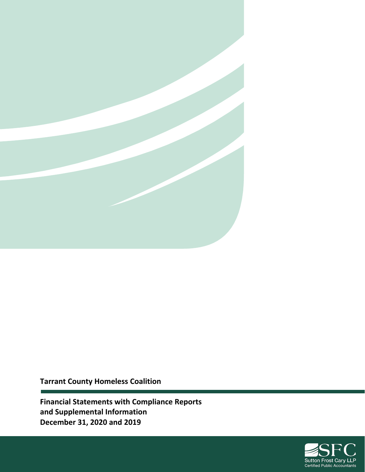

**Tarrant County Homeless Coalition** 

**Financial Statements with Compliance Reports and Supplemental Information December 31, 2020 and 2019** 

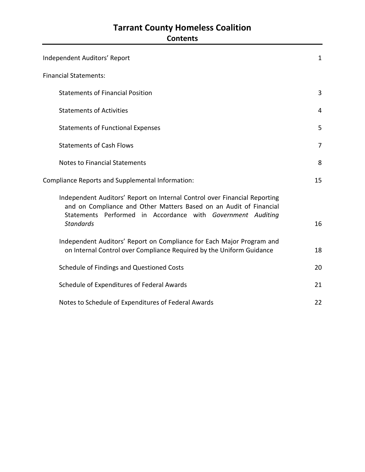# **Tarrant County Homeless Coalition Contents**

| Independent Auditors' Report                                                                                                                                                                                   | $\mathbf{1}$   |
|----------------------------------------------------------------------------------------------------------------------------------------------------------------------------------------------------------------|----------------|
| <b>Financial Statements:</b>                                                                                                                                                                                   |                |
| <b>Statements of Financial Position</b>                                                                                                                                                                        | 3              |
| <b>Statements of Activities</b>                                                                                                                                                                                | 4              |
| <b>Statements of Functional Expenses</b>                                                                                                                                                                       | 5              |
| <b>Statements of Cash Flows</b>                                                                                                                                                                                | $\overline{7}$ |
| <b>Notes to Financial Statements</b>                                                                                                                                                                           | 8              |
| Compliance Reports and Supplemental Information:                                                                                                                                                               | 15             |
| Independent Auditors' Report on Internal Control over Financial Reporting<br>and on Compliance and Other Matters Based on an Audit of Financial<br>Statements Performed in Accordance with Government Auditing |                |
| <b>Standards</b>                                                                                                                                                                                               | 16             |
| Independent Auditors' Report on Compliance for Each Major Program and<br>on Internal Control over Compliance Required by the Uniform Guidance                                                                  | 18             |
| Schedule of Findings and Questioned Costs                                                                                                                                                                      | 20             |
| Schedule of Expenditures of Federal Awards                                                                                                                                                                     | 21             |
| Notes to Schedule of Expenditures of Federal Awards                                                                                                                                                            | 22             |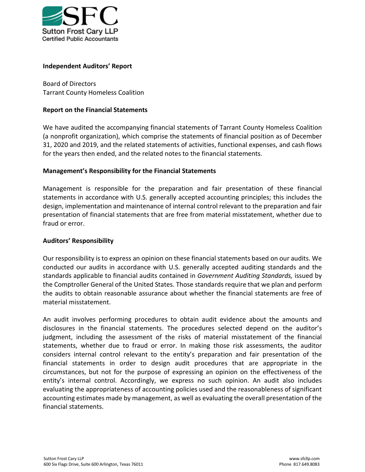

#### **Independent Auditors' Report**

Board of Directors Tarrant County Homeless Coalition

#### **Report on the Financial Statements**

We have audited the accompanying financial statements of Tarrant County Homeless Coalition (a nonprofit organization), which comprise the statements of financial position as of December 31, 2020 and 2019, and the related statements of activities, functional expenses, and cash flows for the years then ended, and the related notes to the financial statements.

#### **Management's Responsibility for the Financial Statements**

Management is responsible for the preparation and fair presentation of these financial statements in accordance with U.S. generally accepted accounting principles; this includes the design, implementation and maintenance of internal control relevant to the preparation and fair presentation of financial statements that are free from material misstatement, whether due to fraud or error.

#### **Auditors' Responsibility**

Our responsibility is to express an opinion on these financial statements based on our audits. We conducted our audits in accordance with U.S. generally accepted auditing standards and the standards applicable to financial audits contained in *Government Auditing Standards,* issued by the Comptroller General of the United States. Those standards require that we plan and perform the audits to obtain reasonable assurance about whether the financial statements are free of material misstatement.

An audit involves performing procedures to obtain audit evidence about the amounts and disclosures in the financial statements. The procedures selected depend on the auditor's judgment, including the assessment of the risks of material misstatement of the financial statements, whether due to fraud or error. In making those risk assessments, the auditor considers internal control relevant to the entity's preparation and fair presentation of the financial statements in order to design audit procedures that are appropriate in the circumstances, but not for the purpose of expressing an opinion on the effectiveness of the entity's internal control. Accordingly, we express no such opinion. An audit also includes evaluating the appropriateness of accounting policies used and the reasonableness of significant accounting estimates made by management, as well as evaluating the overall presentation of the financial statements.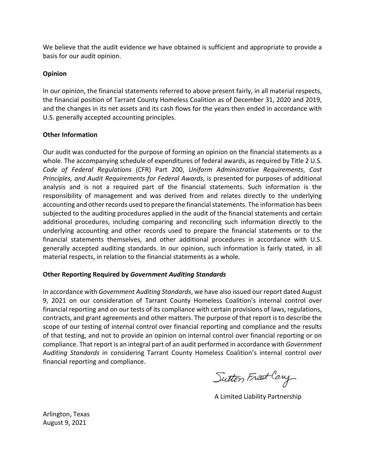We believe that the audit evidence we have obtained is sufficient and appropriate to provide a basis for our audit opinion.

### **Opinion**

In our opinion, the financial statements referred to above present fairly, in all material respects, the financial position of Tarrant County Homeless Coalition as of December 31, 2020 and 2019, and the changes in its net assets and its cash flows for the years then ended in accordance with U.S. generally accepted accounting principles.

#### **Other Information**

Our audit was conducted for the purpose of forming an opinion on the financial statements as a whole. The accompanying schedule of expenditures of federal awards, as required by Title 2 U.S. *Code of Federal Regulations* (CFR) Part 200, *Uniform Administrative Requirements*, *Cost Principles, and Audit Requirements for Federal Awards*, is presented for purposes of additional analysis and is not a required part of the financial statements. Such information is the responsibility of management and was derived from and relates directly to the underlying accounting and other records used to prepare the financial statements. The information has been subjected to the auditing procedures applied in the audit of the financial statements and certain additional procedures, including comparing and reconciling such information directly to the underlying accounting and other records used to prepare the financial statements or to the financial statements themselves, and other additional procedures in accordance with U.S. generally accepted auditing standards. In our opinion, such information is fairly stated, in all material respects, in relation to the financial statements as a whole.

#### **Other Reporting Required by** *Government Auditing Standards*

In accordance with *Government Auditing Standards*, we have also issued our report dated August 9, 2021 on our consideration of Tarrant County Homeless Coalition's internal control over financial reporting and on our tests of its compliance with certain provisions of laws, regulations, contracts, and grant agreements and other matters. The purpose of that report is to describe the scope of our testing of internal control over financial reporting and compliance and the results of that testing, and not to provide an opinion on internal control over financial reporting or on compliance. That report is an integral part of an audit performed in accordance with *Government Auditing Standards* in considering Tarrant County Homeless Coalition's internal control over financial reporting and compliance.

Sutton Frost Cary

A Limited Liability Partnership

Arlington, Texas August 9, 2021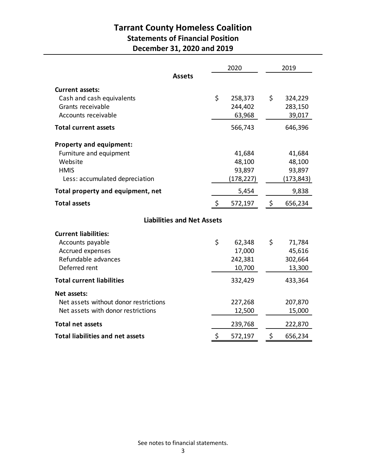# **Tarrant County Homeless Coalition Statements of Financial Position December 31, 2020 and 2019**

|                                                | 2020              |                | 2019              |
|------------------------------------------------|-------------------|----------------|-------------------|
| <b>Assets</b>                                  |                   |                |                   |
| <b>Current assets:</b>                         |                   |                |                   |
| Cash and cash equivalents<br>Grants receivable | \$<br>258,373     | \$             | 324,229           |
| Accounts receivable                            | 244,402<br>63,968 |                | 283,150<br>39,017 |
|                                                |                   |                |                   |
| <b>Total current assets</b>                    | 566,743           |                | 646,396           |
| <b>Property and equipment:</b>                 |                   |                |                   |
| Furniture and equipment                        | 41,684            |                | 41,684            |
| Website                                        | 48,100            |                | 48,100            |
| <b>HMIS</b>                                    | 93,897            |                | 93,897            |
| Less: accumulated depreciation                 | (178,227)         |                | (173, 843)        |
| Total property and equipment, net              | 5,454             |                | 9,838             |
| <b>Total assets</b>                            | 572,197           | $\ddot{\zeta}$ | 656,234           |
| <b>Liabilities and Net Assets</b>              |                   |                |                   |
| <b>Current liabilities:</b>                    |                   |                |                   |
| Accounts payable                               | \$<br>62,348      | \$             | 71,784            |
| Accrued expenses                               | 17,000            |                | 45,616            |
| Refundable advances                            | 242,381           |                | 302,664           |
| Deferred rent                                  | 10,700            |                | 13,300            |
| <b>Total current liabilities</b>               | 332,429           |                | 433,364           |
| Net assets:                                    |                   |                |                   |
| Net assets without donor restrictions          | 227,268           |                | 207,870           |
| Net assets with donor restrictions             | 12,500            |                | 15,000            |
| <b>Total net assets</b>                        | 239,768           |                | 222,870           |
| <b>Total liabilities and net assets</b>        | \$<br>572,197     | \$             | 656,234           |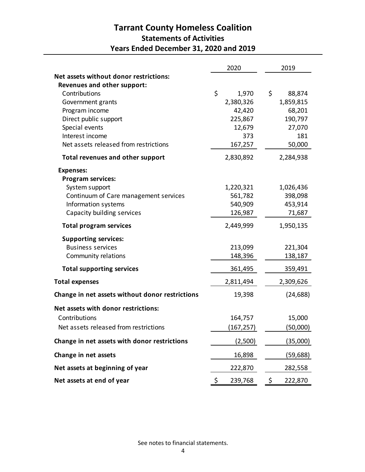# **Tarrant County Homeless Coalition Statements of Activities Years Ended December 31, 2020 and 2019**

|                                                                                                                                                              | 2020                                          | 2019                                           |
|--------------------------------------------------------------------------------------------------------------------------------------------------------------|-----------------------------------------------|------------------------------------------------|
| Net assets without donor restrictions:<br>Revenues and other support:                                                                                        |                                               |                                                |
| Contributions<br>Government grants<br>Program income<br>Direct public support                                                                                | \$<br>1,970<br>2,380,326<br>42,420<br>225,867 | \$<br>88,874<br>1,859,815<br>68,201<br>190,797 |
| Special events<br>Interest income<br>Net assets released from restrictions                                                                                   | 12,679<br>373<br>167,257                      | 27,070<br>181<br>50,000                        |
| <b>Total revenues and other support</b>                                                                                                                      | 2,830,892                                     | 2,284,938                                      |
| <b>Expenses:</b><br><b>Program services:</b><br>System support<br>Continuum of Care management services<br>Information systems<br>Capacity building services | 1,220,321<br>561,782<br>540,909<br>126,987    | 1,026,436<br>398,098<br>453,914<br>71,687      |
| <b>Total program services</b>                                                                                                                                | 2,449,999                                     | 1,950,135                                      |
| <b>Supporting services:</b><br><b>Business services</b><br>Community relations                                                                               | 213,099<br>148,396                            | 221,304<br>138,187                             |
| <b>Total supporting services</b>                                                                                                                             | 361,495                                       | 359,491                                        |
| <b>Total expenses</b><br>Change in net assets without donor restrictions                                                                                     | 2,811,494<br>19,398                           | 2,309,626<br>(24, 688)                         |
| Net assets with donor restrictions:<br>Contributions<br>Net assets released from restrictions                                                                | 164,757<br>(167, 257)                         | 15,000<br>(50,000)                             |
| Change in net assets with donor restrictions                                                                                                                 | (2,500)                                       | (35,000)                                       |
| Change in net assets                                                                                                                                         | 16,898                                        | (59,688)                                       |
| Net assets at beginning of year                                                                                                                              | 222,870                                       | 282,558                                        |
| Net assets at end of year                                                                                                                                    | \$<br>239,768                                 | \$<br>222,870                                  |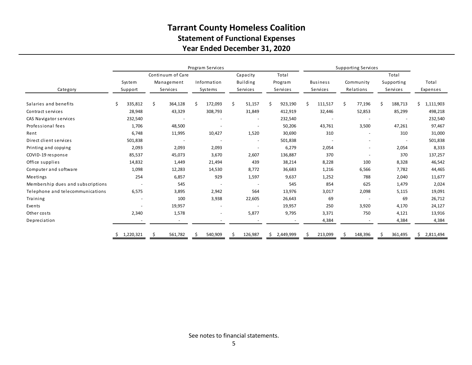# **Tarrant County Homeless Coalition Statement of Functional Expenses Year Ended December 31, 2020**

|                                   | Program Services |                          |    |                   |    |                          |    | Supporting Services      |    |           |    |                 |    |           |    |            |          |           |
|-----------------------------------|------------------|--------------------------|----|-------------------|----|--------------------------|----|--------------------------|----|-----------|----|-----------------|----|-----------|----|------------|----------|-----------|
|                                   |                  |                          |    | Continuum of Care |    |                          |    | Capacity                 |    | Total     |    |                 |    |           |    | Total      |          |           |
|                                   |                  | System                   |    | Management        |    | Information              |    | <b>Building</b>          |    | Program   |    | <b>Business</b> |    | Community |    | Supporting | Total    |           |
| Category                          |                  | Support                  |    | Services          |    | Systems                  |    | Services                 |    | Services  |    | Services        |    | Relations |    | Services   | Expenses |           |
| Salaries and benefits             | Ś                | 335,812                  | Ŝ. | 364,128           | Ś. | 172,093                  | Ś. | 51,157                   | \$ | 923,190   | Ŝ. | 111,517         | Ś. | 77,196    | Ś. | 188,713    | Ś.       | 1,111,903 |
| Contract services                 |                  | 28,948                   |    | 43,329            |    | 308,793                  |    | 31,849                   |    | 412,919   |    | 32,446          |    | 52,853    |    | 85,299     |          | 498,218   |
|                                   |                  |                          |    |                   |    |                          |    |                          |    |           |    |                 |    |           |    |            |          |           |
| CAS Navigator services            |                  | 232,540                  |    |                   |    |                          |    |                          |    | 232,540   |    |                 |    |           |    |            |          | 232,540   |
| Professional fees                 |                  | 1,706                    |    | 48,500            |    |                          |    |                          |    | 50,206    |    | 43,761          |    | 3,500     |    | 47,261     |          | 97,467    |
| Rent                              |                  | 6,748                    |    | 11,995            |    | 10,427                   |    | 1,520                    |    | 30,690    |    | 310             |    |           |    | 310        |          | 31,000    |
| Direct client services            |                  | 501,838                  |    |                   |    |                          |    | $\overline{\phantom{a}}$ |    | 501,838   |    |                 |    |           |    |            |          | 501,838   |
| Printing and copying              |                  | 2,093                    |    | 2,093             |    | 2,093                    |    |                          |    | 6,279     |    | 2,054           |    |           |    | 2,054      |          | 8,333     |
| COVID-19 response                 |                  | 85,537                   |    | 45,073            |    | 3,670                    |    | 2,607                    |    | 136,887   |    | 370             |    |           |    | 370        |          | 137,257   |
| Office supplies                   |                  | 14,832                   |    | 1,449             |    | 21,494                   |    | 439                      |    | 38,214    |    | 8,228           |    | 100       |    | 8,328      |          | 46,542    |
| Computer and software             |                  | 1,098                    |    | 12,283            |    | 14,530                   |    | 8,772                    |    | 36,683    |    | 1,216           |    | 6,566     |    | 7,782      |          | 44,465    |
| Meetings                          |                  | 254                      |    | 6,857             |    | 929                      |    | 1,597                    |    | 9,637     |    | 1,252           |    | 788       |    | 2,040      |          | 11,677    |
| Membership dues and subscriptions |                  | $\overline{\phantom{a}}$ |    | 545               |    | $\overline{\phantom{a}}$ |    | $\overline{\phantom{a}}$ |    | 545       |    | 854             |    | 625       |    | 1,479      |          | 2,024     |
| Telephone and telecommunications  |                  | 6,575                    |    | 3,895             |    | 2,942                    |    | 564                      |    | 13,976    |    | 3,017           |    | 2,098     |    | 5,115      |          | 19,091    |
| Training                          |                  | $\overline{\phantom{a}}$ |    | 100               |    | 3,938                    |    | 22,605                   |    | 26,643    |    | 69              |    |           |    | 69         |          | 26,712    |
| Events                            |                  |                          |    | 19,957            |    | $\overline{\phantom{a}}$ |    |                          |    | 19,957    |    | 250             |    | 3,920     |    | 4,170      |          | 24,127    |
| Other costs                       |                  | 2,340                    |    | 1,578             |    | $\overline{\phantom{a}}$ |    | 5,877                    |    | 9,795     |    | 3,371           |    | 750       |    | 4,121      |          | 13,916    |
| Depreciation                      |                  |                          |    |                   |    |                          |    |                          |    |           |    | 4,384           |    |           |    | 4,384      |          | 4,384     |
|                                   |                  | 1,220,321                |    | 561,782           |    | 540,909                  |    | 126,987                  | S  | 2,449,999 |    | 213,099         |    | 148,396   |    | 361,495    | Ś        | 2,811,494 |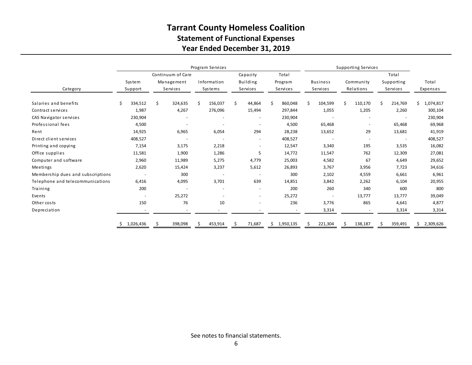# **Tarrant County Homeless Coalition Statement of Functional Expenses Year Ended December 31, 2019**

|                                   | Program Services |           |    |                   |    |                          |    | Supporting Services      |    |           |    |                          |    |                          |   |                          |    |           |
|-----------------------------------|------------------|-----------|----|-------------------|----|--------------------------|----|--------------------------|----|-----------|----|--------------------------|----|--------------------------|---|--------------------------|----|-----------|
|                                   |                  |           |    | Continuum of Care |    |                          |    | Capacity                 |    | Total     |    |                          |    |                          |   | Total                    |    |           |
|                                   |                  | System    |    | Management        |    | Information              |    | <b>Building</b>          |    | Program   |    | <b>Business</b>          |    | Community                |   | Supporting               |    | Total     |
| Category                          |                  | Support   |    | Services          |    | Systems                  |    | Services                 |    | Services  |    | Services                 |    | Relations                |   | Services                 |    | Expenses  |
| Salaries and benefits             | \$               |           |    |                   |    |                          |    |                          | Ś  |           | Š. |                          | Ś. |                          | Ś |                          |    |           |
|                                   |                  | 334,512   | Ś. | 324,635           | Ś. | 156,037                  | Ś. | 44,864                   |    | 860,048   |    | 104,599                  |    | 110,170                  |   | 214,769                  | \$ | 1,074,817 |
| Contract services                 |                  | 1,987     |    | 4,267             |    | 276,096                  |    | 15,494                   |    | 297,844   |    | 1,055                    |    | 1,205                    |   | 2,260                    |    | 300,104   |
| CAS Navigator services            |                  | 230,904   |    |                   |    |                          |    | $\overline{\phantom{a}}$ |    | 230,904   |    |                          |    | ٠                        |   | $\overline{\phantom{a}}$ |    | 230,904   |
| Professional fees                 |                  | 4,500     |    |                   |    |                          |    |                          |    | 4,500     |    | 65,468                   |    |                          |   | 65,468                   |    | 69,968    |
| Rent                              |                  | 14,925    |    | 6,965             |    | 6,054                    |    | 294                      |    | 28,238    |    | 13,652                   |    | 29                       |   | 13,681                   |    | 41,919    |
| Direct client services            |                  | 408,527   |    |                   |    | $\overline{\phantom{a}}$ |    | $\overline{\phantom{a}}$ |    | 408,527   |    | $\overline{\phantom{a}}$ |    | $\overline{\phantom{a}}$ |   | $\overline{\phantom{a}}$ |    | 408,527   |
| Printing and copying              |                  | 7,154     |    | 3,175             |    | 2,218                    |    | $\overline{\phantom{a}}$ |    | 12,547    |    | 3,340                    |    | 195                      |   | 3,535                    |    | 16,082    |
| Office supplies                   |                  | 11,581    |    | 1,900             |    | 1,286                    |    | 5                        |    | 14,772    |    | 11,547                   |    | 762                      |   | 12,309                   |    | 27,081    |
| Computer and software             |                  | 2,960     |    | 11,989            |    | 5,275                    |    | 4,779                    |    | 25,003    |    | 4,582                    |    | 67                       |   | 4,649                    |    | 29,652    |
| Meetings                          |                  | 2,620     |    | 15,424            |    | 3,237                    |    | 5,612                    |    | 26,893    |    | 3,767                    |    | 3,956                    |   | 7,723                    |    | 34,616    |
| Membership dues and subscriptions |                  |           |    | 300               |    | $\overline{\phantom{a}}$ |    |                          |    | 300       |    | 2,102                    |    | 4,559                    |   | 6,661                    |    | 6,961     |
| Telephone and telecommunications  |                  | 6,416     |    | 4,095             |    | 3,701                    |    | 639                      |    | 14,851    |    | 3,842                    |    | 2,262                    |   | 6,104                    |    | 20,955    |
| Training                          |                  | 200       |    |                   |    | $\overline{\phantom{a}}$ |    |                          |    | 200       |    | 260                      |    | 340                      |   | 600                      |    | 800       |
| Events                            |                  |           |    | 25,272            |    |                          |    |                          |    | 25,272    |    |                          |    | 13,777                   |   | 13,777                   |    | 39,049    |
| Other costs                       |                  | 150       |    | 76                |    | 10                       |    |                          |    | 236       |    | 3,776                    |    | 865                      |   | 4,641                    |    | 4,877     |
| Depreciation                      |                  |           |    |                   |    |                          |    |                          |    |           |    | 3,314                    |    |                          |   | 3,314                    |    | 3,314     |
|                                   |                  | 1,026,436 |    | 398,098           |    | 453,914                  |    | 71,687                   | Ś. | 1,950,135 |    | 221,304                  |    | 138,187                  |   | 359,491                  |    | 2,309,626 |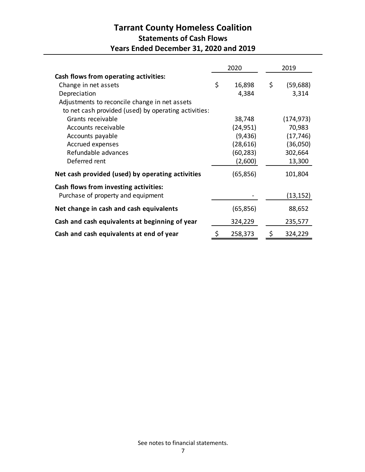# **Tarrant County Homeless Coalition Statements of Cash Flows Years Ended December 31, 2020 and 2019**

|                                                      | 2020          | 2019            |  |
|------------------------------------------------------|---------------|-----------------|--|
| Cash flows from operating activities:                |               |                 |  |
| Change in net assets                                 | \$<br>16,898  | \$<br>(59, 688) |  |
| Depreciation                                         | 4,384         | 3,314           |  |
| Adjustments to reconcile change in net assets        |               |                 |  |
| to net cash provided (used) by operating activities: |               |                 |  |
| Grants receivable                                    | 38,748        | (174, 973)      |  |
| Accounts receivable                                  | (24, 951)     | 70,983          |  |
| Accounts payable                                     | (9,436)       | (17, 746)       |  |
| Accrued expenses                                     | (28, 616)     | (36,050)        |  |
| Refundable advances                                  | (60,283)      | 302,664         |  |
| Deferred rent                                        | (2,600)       | 13,300          |  |
| Net cash provided (used) by operating activities     | (65, 856)     | 101,804         |  |
| Cash flows from investing activities:                |               |                 |  |
| Purchase of property and equipment                   |               | (13,152)        |  |
| Net change in cash and cash equivalents              | (65, 856)     | 88,652          |  |
| Cash and cash equivalents at beginning of year       | 324,229       | 235,577         |  |
| Cash and cash equivalents at end of year             | \$<br>258,373 | \$<br>324,229   |  |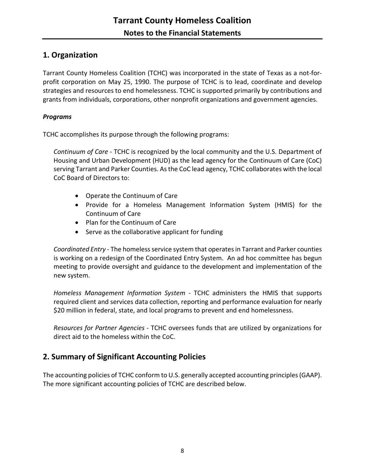# **1. Organization**

Tarrant County Homeless Coalition (TCHC) was incorporated in the state of Texas as a not-forprofit corporation on May 25, 1990. The purpose of TCHC is to lead, coordinate and develop strategies and resources to end homelessness. TCHC is supported primarily by contributions and grants from individuals, corporations, other nonprofit organizations and government agencies.

## *Programs*

TCHC accomplishes its purpose through the following programs:

*Continuum of Care* - TCHC is recognized by the local community and the U.S. Department of Housing and Urban Development (HUD) as the lead agency for the Continuum of Care (CoC) serving Tarrant and Parker Counties. As the CoC lead agency, TCHC collaborates with the local CoC Board of Directors to:

- Operate the Continuum of Care
- Provide for a Homeless Management Information System (HMIS) for the Continuum of Care
- Plan for the Continuum of Care
- Serve as the collaborative applicant for funding

*Coordinated Entry* - The homeless service system that operates in Tarrant and Parker counties is working on a redesign of the Coordinated Entry System. An ad hoc committee has begun meeting to provide oversight and guidance to the development and implementation of the new system.

*Homeless Management Information System* - TCHC administers the HMIS that supports required client and services data collection, reporting and performance evaluation for nearly \$20 million in federal, state, and local programs to prevent and end homelessness.

*Resources for Partner Agencies* - TCHC oversees funds that are utilized by organizations for direct aid to the homeless within the CoC.

# **2. Summary of Significant Accounting Policies**

The accounting policies of TCHC conform to U.S. generally accepted accounting principles (GAAP). The more significant accounting policies of TCHC are described below.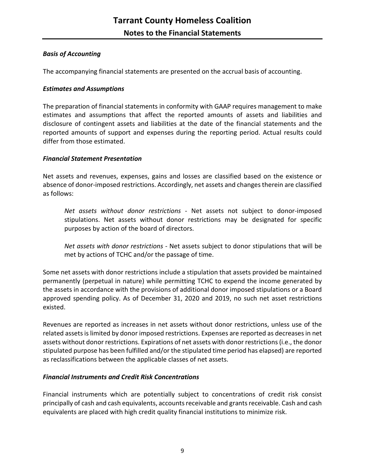### *Basis of Accounting*

The accompanying financial statements are presented on the accrual basis of accounting.

### *Estimates and Assumptions*

The preparation of financial statements in conformity with GAAP requires management to make estimates and assumptions that affect the reported amounts of assets and liabilities and disclosure of contingent assets and liabilities at the date of the financial statements and the reported amounts of support and expenses during the reporting period. Actual results could differ from those estimated.

### *Financial Statement Presentation*

Net assets and revenues, expenses, gains and losses are classified based on the existence or absence of donor-imposed restrictions. Accordingly, net assets and changes therein are classified as follows:

*Net assets without donor restrictions* - Net assets not subject to donor-imposed stipulations. Net assets without donor restrictions may be designated for specific purposes by action of the board of directors.

*Net assets with donor restrictions* - Net assets subject to donor stipulations that will be met by actions of TCHC and/or the passage of time.

Some net assets with donor restrictions include a stipulation that assets provided be maintained permanently (perpetual in nature) while permitting TCHC to expend the income generated by the assets in accordance with the provisions of additional donor imposed stipulations or a Board approved spending policy. As of December 31, 2020 and 2019, no such net asset restrictions existed.

Revenues are reported as increases in net assets without donor restrictions, unless use of the related assets is limited by donor imposed restrictions. Expenses are reported as decreases in net assets without donor restrictions. Expirations of net assets with donor restrictions (i.e., the donor stipulated purpose has been fulfilled and/or the stipulated time period has elapsed) are reported as reclassifications between the applicable classes of net assets.

### *Financial Instruments and Credit Risk Concentrations*

Financial instruments which are potentially subject to concentrations of credit risk consist principally of cash and cash equivalents, accounts receivable and grants receivable. Cash and cash equivalents are placed with high credit quality financial institutions to minimize risk.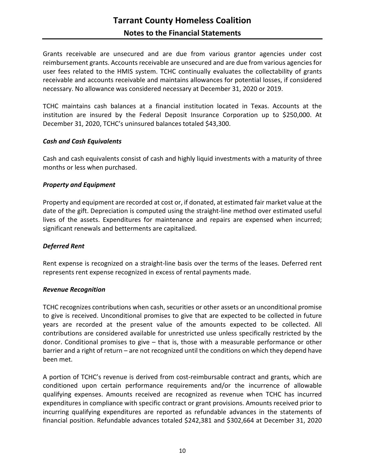Grants receivable are unsecured and are due from various grantor agencies under cost reimbursement grants. Accounts receivable are unsecured and are due from various agencies for user fees related to the HMIS system. TCHC continually evaluates the collectability of grants receivable and accounts receivable and maintains allowances for potential losses, if considered necessary. No allowance was considered necessary at December 31, 2020 or 2019.

TCHC maintains cash balances at a financial institution located in Texas. Accounts at the institution are insured by the Federal Deposit Insurance Corporation up to \$250,000. At December 31, 2020, TCHC's uninsured balances totaled \$43,300.

#### *Cash and Cash Equivalents*

Cash and cash equivalents consist of cash and highly liquid investments with a maturity of three months or less when purchased.

#### *Property and Equipment*

Property and equipment are recorded at cost or, if donated, at estimated fair market value at the date of the gift. Depreciation is computed using the straight-line method over estimated useful lives of the assets. Expenditures for maintenance and repairs are expensed when incurred; significant renewals and betterments are capitalized.

#### *Deferred Rent*

Rent expense is recognized on a straight-line basis over the terms of the leases. Deferred rent represents rent expense recognized in excess of rental payments made.

#### *Revenue Recognition*

TCHC recognizes contributions when cash, securities or other assets or an unconditional promise to give is received. Unconditional promises to give that are expected to be collected in future years are recorded at the present value of the amounts expected to be collected. All contributions are considered available for unrestricted use unless specifically restricted by the donor. Conditional promises to give – that is, those with a measurable performance or other barrier and a right of return – are not recognized until the conditions on which they depend have been met.

A portion of TCHC's revenue is derived from cost-reimbursable contract and grants, which are conditioned upon certain performance requirements and/or the incurrence of allowable qualifying expenses. Amounts received are recognized as revenue when TCHC has incurred expenditures in compliance with specific contract or grant provisions. Amounts received prior to incurring qualifying expenditures are reported as refundable advances in the statements of financial position. Refundable advances totaled \$242,381 and \$302,664 at December 31, 2020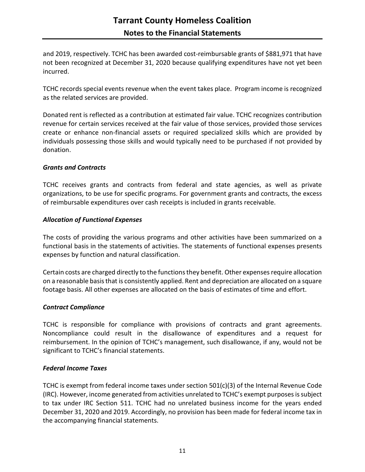and 2019, respectively. TCHC has been awarded cost-reimbursable grants of \$881,971 that have not been recognized at December 31, 2020 because qualifying expenditures have not yet been incurred.

TCHC records special events revenue when the event takes place. Program income is recognized as the related services are provided.

Donated rent is reflected as a contribution at estimated fair value. TCHC recognizes contribution revenue for certain services received at the fair value of those services, provided those services create or enhance non-financial assets or required specialized skills which are provided by individuals possessing those skills and would typically need to be purchased if not provided by donation.

#### *Grants and Contracts*

TCHC receives grants and contracts from federal and state agencies, as well as private organizations, to be use for specific programs. For government grants and contracts, the excess of reimbursable expenditures over cash receipts is included in grants receivable.

#### *Allocation of Functional Expenses*

The costs of providing the various programs and other activities have been summarized on a functional basis in the statements of activities. The statements of functional expenses presents expenses by function and natural classification.

Certain costs are charged directly to the functions they benefit. Other expenses require allocation on a reasonable basis that is consistently applied. Rent and depreciation are allocated on a square footage basis. All other expenses are allocated on the basis of estimates of time and effort.

#### *Contract Compliance*

TCHC is responsible for compliance with provisions of contracts and grant agreements. Noncompliance could result in the disallowance of expenditures and a request for reimbursement. In the opinion of TCHC's management, such disallowance, if any, would not be significant to TCHC's financial statements.

#### *Federal Income Taxes*

TCHC is exempt from federal income taxes under section 501(c)(3) of the Internal Revenue Code (IRC). However, income generated from activities unrelated to TCHC's exempt purposes is subject to tax under IRC Section 511. TCHC had no unrelated business income for the years ended December 31, 2020 and 2019. Accordingly, no provision has been made for federal income tax in the accompanying financial statements.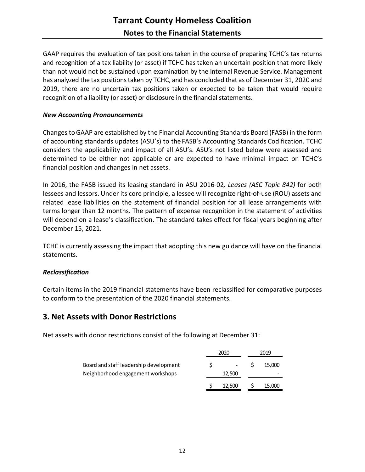GAAP requires the evaluation of tax positions taken in the course of preparing TCHC's tax returns and recognition of a tax liability (or asset) if TCHC has taken an uncertain position that more likely than not would not be sustained upon examination by the Internal Revenue Service. Management has analyzed the tax positions taken by TCHC, and has concluded that as of December 31, 2020 and 2019, there are no uncertain tax positions taken or expected to be taken that would require recognition of a liability (or asset) or disclosure in the financial statements.

#### *New Accounting Pronouncements*

Changes to GAAP are established by the Financial Accounting Standards Board (FASB) in the form of accounting standards updates (ASU's) to the FASB's Accounting Standards Codification. TCHC considers the applicability and impact of all ASU's. ASU's not listed below were assessed and determined to be either not applicable or are expected to have minimal impact on TCHC's financial position and changes in net assets.

In 2016, the FASB issued its leasing standard in ASU 2016-02*, Leases (ASC Topic 842)* for both lessees and lessors. Under its core principle, a lessee will recognize right-of-use (ROU) assets and related lease liabilities on the statement of financial position for all lease arrangements with terms longer than 12 months. The pattern of expense recognition in the statement of activities will depend on a lease's classification. The standard takes effect for fiscal years beginning after December 15, 2021.

TCHC is currently assessing the impact that adopting this new guidance will have on the financial statements.

#### *Reclassification*

Certain items in the 2019 financial statements have been reclassified for comparative purposes to conform to the presentation of the 2020 financial statements.

## **3. Net Assets with Donor Restrictions**

Net assets with donor restrictions consist of the following at December 31:

|                                        |    | 2020       | 2019   |
|----------------------------------------|----|------------|--------|
| Board and staff leadership development | ς. | $\sim 100$ | 15.000 |
| Neighborhood engagement workshops      |    | 12,500     |        |
|                                        |    | 12.500     | 15,000 |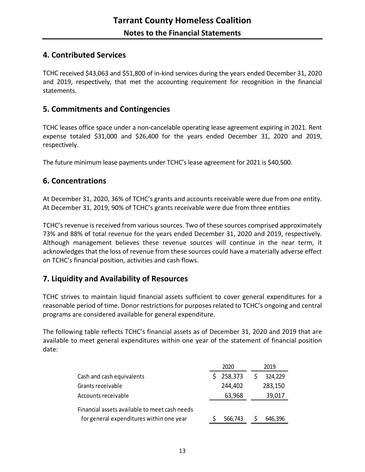## **4. Contributed Services**

TCHC received \$43,063 and \$51,800 of in-kind services during the years ended December 31, 2020 and 2019, respectively, that met the accounting requirement for recognition in the financial statements.

## **5. Commitments and Contingencies**

TCHC leases office space under a non-cancelable operating lease agreement expiring in 2021. Rent expense totaled \$31,000 and \$26,400 for the years ended December 31, 2020 and 2019, respectively.

The future minimum lease payments under TCHC's lease agreement for 2021 is \$40,500.

## **6. Concentrations**

At December 31, 2020, 36% of TCHC's grants and accounts receivable were due from one entity. At December 31, 2019, 90% of TCHC's grants receivable were due from three entities

TCHC's revenue is received from various sources. Two of these sources comprised approximately 73% and 88% of total revenue for the years ended December 31, 2020 and 2019, respectively. Although management believes these revenue sources will continue in the near term, it acknowledges that the loss of revenue from these sources could have a materially adverse effect on TCHC's financial position, activities and cash flows.

## **7. Liquidity and Availability of Resources**

TCHC strives to maintain liquid financial assets sufficient to cover general expenditures for a reasonable period of time. Donor restrictions for purposes related to TCHC's ongoing and central programs are considered available for general expenditure.

The following table reflects TCHC's financial assets as of December 31, 2020 and 2019 that are available to meet general expenditures within one year of the statement of financial position date:

|                                                                                           |    | 2020    | 2019    |
|-------------------------------------------------------------------------------------------|----|---------|---------|
| Cash and cash equivalents                                                                 | S. | 258,373 | 324,229 |
| Grants receivable                                                                         |    | 244,402 | 283,150 |
| Accounts receivable                                                                       |    | 63,968  | 39,017  |
| Financial assets available to meet cash needs<br>for general expenditures within one year |    | 566,743 | 646,396 |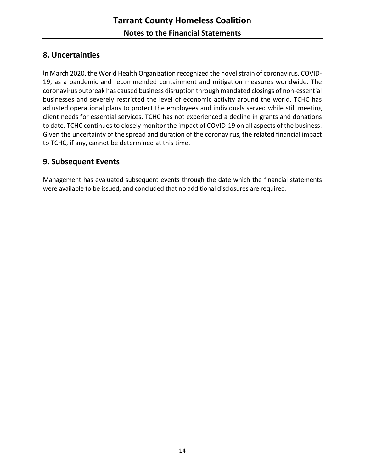# **8. Uncertainties**

In March 2020, the World Health Organization recognized the novel strain of coronavirus, COVID-19, as a pandemic and recommended containment and mitigation measures worldwide. The coronavirus outbreak has caused business disruption through mandated closings of non-essential businesses and severely restricted the level of economic activity around the world. TCHC has adjusted operational plans to protect the employees and individuals served while still meeting client needs for essential services. TCHC has not experienced a decline in grants and donations to date. TCHC continues to closely monitor the impact of COVID-19 on all aspects of the business. Given the uncertainty of the spread and duration of the coronavirus, the related financial impact to TCHC, if any, cannot be determined at this time.

# **9. Subsequent Events**

Management has evaluated subsequent events through the date which the financial statements were available to be issued, and concluded that no additional disclosures are required.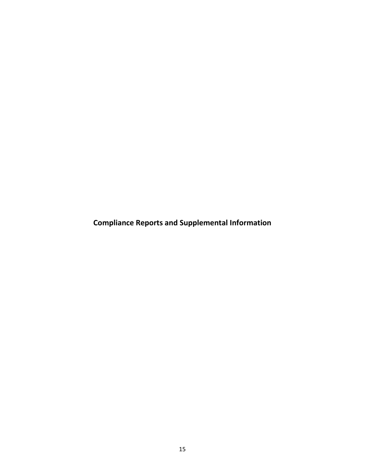**Compliance Reports and Supplemental Information**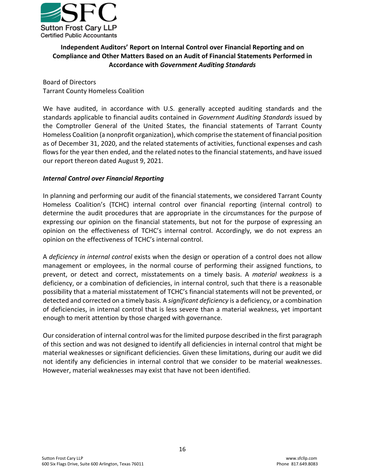

## **Independent Auditors' Report on Internal Control over Financial Reporting and on Compliance and Other Matters Based on an Audit of Financial Statements Performed in Accordance with** *Government Auditing Standards*

Board of Directors Tarrant County Homeless Coalition

We have audited, in accordance with U.S. generally accepted auditing standards and the standards applicable to financial audits contained in *Government Auditing Standards* issued by the Comptroller General of the United States, the financial statements of Tarrant County Homeless Coalition (a nonprofit organization), which comprise the statement of financial position as of December 31, 2020, and the related statements of activities, functional expenses and cash flows for the year then ended, and the related notes to the financial statements, and have issued our report thereon dated August 9, 2021.

#### *Internal Control over Financial Reporting*

In planning and performing our audit of the financial statements, we considered Tarrant County Homeless Coalition's (TCHC) internal control over financial reporting (internal control) to determine the audit procedures that are appropriate in the circumstances for the purpose of expressing our opinion on the financial statements, but not for the purpose of expressing an opinion on the effectiveness of TCHC's internal control. Accordingly, we do not express an opinion on the effectiveness of TCHC's internal control.

A *deficiency in internal control* exists when the design or operation of a control does not allow management or employees, in the normal course of performing their assigned functions, to prevent, or detect and correct, misstatements on a timely basis. A *material weakness* is a deficiency, or a combination of deficiencies, in internal control, such that there is a reasonable possibility that a material misstatement of TCHC's financial statements will not be prevented, or detected and corrected on a timely basis. A *significant deficiency* is a deficiency, or a combination of deficiencies, in internal control that is less severe than a material weakness, yet important enough to merit attention by those charged with governance.

Our consideration of internal control was for the limited purpose described in the first paragraph of this section and was not designed to identify all deficiencies in internal control that might be material weaknesses or significant deficiencies. Given these limitations, during our audit we did not identify any deficiencies in internal control that we consider to be material weaknesses. However, material weaknesses may exist that have not been identified.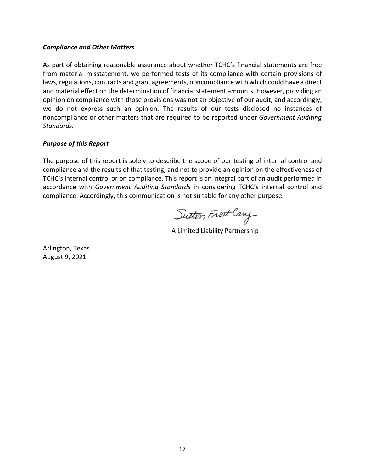#### *Compliance and Other Matters*

As part of obtaining reasonable assurance about whether TCHC's financial statements are free from material misstatement, we performed tests of its compliance with certain provisions of laws, regulations, contracts and grant agreements, noncompliance with which could have a direct and material effect on the determination of financial statement amounts. However, providing an opinion on compliance with those provisions was not an objective of our audit, and accordingly, we do not express such an opinion. The results of our tests disclosed no instances of noncompliance or other matters that are required to be reported under *Government Auditing Standards.*

#### *Purpose of this Report*

The purpose of this report is solely to describe the scope of our testing of internal control and compliance and the results of that testing, and not to provide an opinion on the effectiveness of TCHC's internal control or on compliance. This report is an integral part of an audit performed in accordance with *Government Auditing Standards* in considering TCHC's internal control and compliance. Accordingly, this communication is not suitable for any other purpose.

Sutton Frost Cary

A Limited Liability Partnership

Arlington, Texas August 9, 2021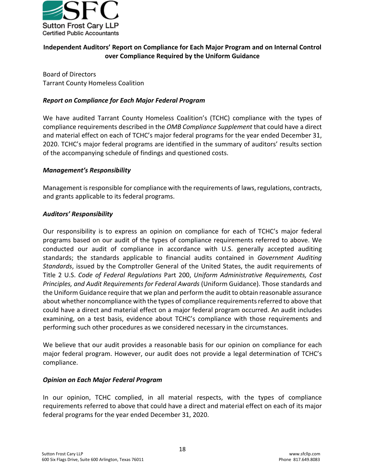

## **Independent Auditors' Report on Compliance for Each Major Program and on Internal Control over Compliance Required by the Uniform Guidance**

Board of Directors Tarrant County Homeless Coalition

#### *Report on Compliance for Each Major Federal Program*

We have audited Tarrant County Homeless Coalition's (TCHC) compliance with the types of compliance requirements described in the *OMB Compliance Supplement* that could have a direct and material effect on each of TCHC's major federal programs for the year ended December 31, 2020. TCHC's major federal programs are identified in the summary of auditors' results section of the accompanying schedule of findings and questioned costs.

#### *Management's Responsibility*

Management is responsible for compliance with the requirements of laws, regulations, contracts, and grants applicable to its federal programs.

#### *Auditors' Responsibility*

Our responsibility is to express an opinion on compliance for each of TCHC's major federal programs based on our audit of the types of compliance requirements referred to above. We conducted our audit of compliance in accordance with U.S. generally accepted auditing standards; the standards applicable to financial audits contained in *Government Auditing Standards*, issued by the Comptroller General of the United States, the audit requirements of Title 2 U.S. *Code of Federal Regulations* Part 200, *Uniform Administrative Requirements, Cost Principles, and Audit Requirements for Federal Awards* (Uniform Guidance). Those standards and the Uniform Guidance require that we plan and perform the audit to obtain reasonable assurance about whether noncompliance with the types of compliance requirements referred to above that could have a direct and material effect on a major federal program occurred. An audit includes examining, on a test basis, evidence about TCHC's compliance with those requirements and performing such other procedures as we considered necessary in the circumstances.

We believe that our audit provides a reasonable basis for our opinion on compliance for each major federal program. However, our audit does not provide a legal determination of TCHC's compliance.

#### *Opinion on Each Major Federal Program*

In our opinion, TCHC complied, in all material respects, with the types of compliance requirements referred to above that could have a direct and material effect on each of its major federal programs for the year ended December 31, 2020.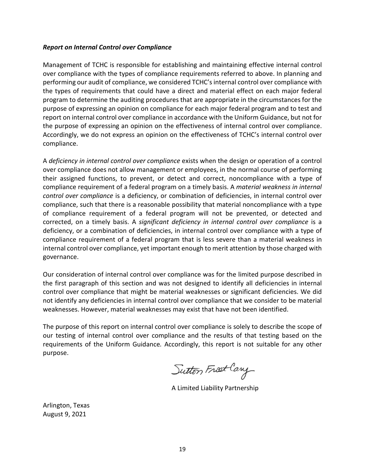#### *Report on Internal Control over Compliance*

Management of TCHC is responsible for establishing and maintaining effective internal control over compliance with the types of compliance requirements referred to above. In planning and performing our audit of compliance, we considered TCHC's internal control over compliance with the types of requirements that could have a direct and material effect on each major federal program to determine the auditing procedures that are appropriate in the circumstances for the purpose of expressing an opinion on compliance for each major federal program and to test and report on internal control over compliance in accordance with the Uniform Guidance, but not for the purpose of expressing an opinion on the effectiveness of internal control over compliance. Accordingly, we do not express an opinion on the effectiveness of TCHC's internal control over compliance.

A *deficiency in internal control over compliance* exists when the design or operation of a control over compliance does not allow management or employees, in the normal course of performing their assigned functions, to prevent, or detect and correct, noncompliance with a type of compliance requirement of a federal program on a timely basis. A *material weakness in internal control over compliance* is a deficiency, or combination of deficiencies, in internal control over compliance, such that there is a reasonable possibility that material noncompliance with a type of compliance requirement of a federal program will not be prevented, or detected and corrected, on a timely basis. A *significant deficiency in internal control over compliance* is a deficiency, or a combination of deficiencies, in internal control over compliance with a type of compliance requirement of a federal program that is less severe than a material weakness in internal control over compliance, yet important enough to merit attention by those charged with governance.

Our consideration of internal control over compliance was for the limited purpose described in the first paragraph of this section and was not designed to identify all deficiencies in internal control over compliance that might be material weaknesses or significant deficiencies. We did not identify any deficiencies in internal control over compliance that we consider to be material weaknesses. However, material weaknesses may exist that have not been identified.

The purpose of this report on internal control over compliance is solely to describe the scope of our testing of internal control over compliance and the results of that testing based on the requirements of the Uniform Guidance*.* Accordingly, this report is not suitable for any other purpose.

Sutton Frost Cary

A Limited Liability Partnership

Arlington, Texas August 9, 2021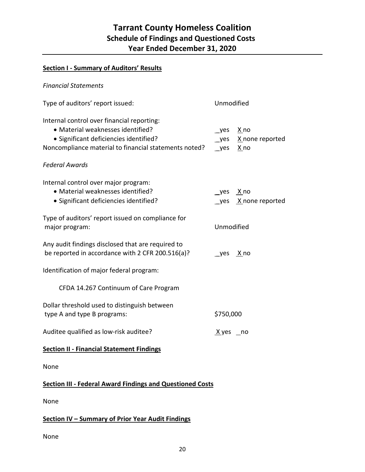# **Tarrant County Homeless Coalition Schedule of Findings and Questioned Costs Year Ended December 31, 2020**

## **Section I - Summary of Auditors' Results**

| <b>Financial Statements</b>                                                                                                                                                        |                                  |                                     |  |  |  |  |  |  |
|------------------------------------------------------------------------------------------------------------------------------------------------------------------------------------|----------------------------------|-------------------------------------|--|--|--|--|--|--|
| Type of auditors' report issued:                                                                                                                                                   | Unmodified                       |                                     |  |  |  |  |  |  |
| Internal control over financial reporting:<br>· Material weaknesses identified?<br>· Significant deficiencies identified?<br>Noncompliance material to financial statements noted? | _yes<br>__yes<br>$_{\rm{1}}$ yes | $X$ no<br>X none reported<br>$X$ no |  |  |  |  |  |  |
| <b>Federal Awards</b>                                                                                                                                                              |                                  |                                     |  |  |  |  |  |  |
| Internal control over major program:<br>· Material weaknesses identified?<br>· Significant deficiencies identified?                                                                | $\_$ yes<br>$_{\rm{1}}$ yes      | <u>X</u> no<br>X none reported      |  |  |  |  |  |  |
| Type of auditors' report issued on compliance for<br>major program:                                                                                                                | Unmodified                       |                                     |  |  |  |  |  |  |
| Any audit findings disclosed that are required to<br>be reported in accordance with 2 CFR 200.516(a)?                                                                              | $_{\rm{p}}$ yes                  | X no                                |  |  |  |  |  |  |
| Identification of major federal program:                                                                                                                                           |                                  |                                     |  |  |  |  |  |  |
| CFDA 14.267 Continuum of Care Program                                                                                                                                              |                                  |                                     |  |  |  |  |  |  |
| Dollar threshold used to distinguish between<br>type A and type B programs:                                                                                                        | \$750,000                        |                                     |  |  |  |  |  |  |
| Auditee qualified as low-risk auditee?                                                                                                                                             | <u>X yes</u> __no                |                                     |  |  |  |  |  |  |
| <b>Section II - Financial Statement Findings</b>                                                                                                                                   |                                  |                                     |  |  |  |  |  |  |
| None                                                                                                                                                                               |                                  |                                     |  |  |  |  |  |  |
| Section III - Federal Award Findings and Questioned Costs                                                                                                                          |                                  |                                     |  |  |  |  |  |  |
| None                                                                                                                                                                               |                                  |                                     |  |  |  |  |  |  |
| <b>Section IV - Summary of Prior Year Audit Findings</b>                                                                                                                           |                                  |                                     |  |  |  |  |  |  |
| None                                                                                                                                                                               |                                  |                                     |  |  |  |  |  |  |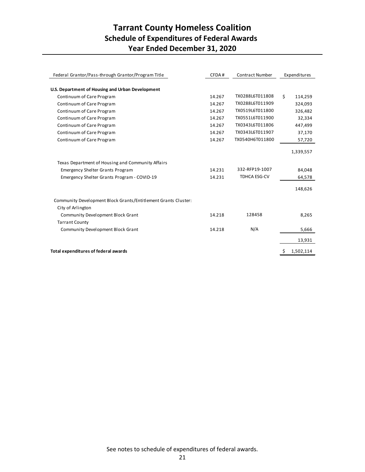# **Tarrant County Homeless Coalition Schedule of Expenditures of Federal Awards Year Ended December 31, 2020**

| CFDA#  | <b>Contract Number</b> | Expenditures  |
|--------|------------------------|---------------|
|        |                        |               |
|        |                        |               |
| 14.267 | TX0288L6T011808        | Ś.<br>114,259 |
| 14.267 | TX0288L6T011909        | 324,093       |
| 14.267 | TX0519L6T011800        | 326,482       |
| 14.267 | TX0551L6T011900        | 32,334        |
| 14.267 | TX0343L6T011806        | 447,499       |
| 14.267 | TX0343L6T011907        | 37,170        |
| 14.267 | TX0540H6T011800        | 57,720        |
|        |                        | 1,339,557     |
|        |                        |               |
|        |                        |               |
| 14.231 | 332-RFP19-1007         | 84,048        |
| 14.231 | <b>TDHCA ESG-CV</b>    | 64,578        |
|        |                        | 148,626       |
|        |                        |               |
|        |                        |               |
|        |                        |               |
| 14.218 | 128458                 | 8,265         |
|        |                        |               |
| 14.218 | N/A                    | 5,666         |
|        |                        | 13,931        |
|        |                        | 1,502,114     |
|        |                        |               |